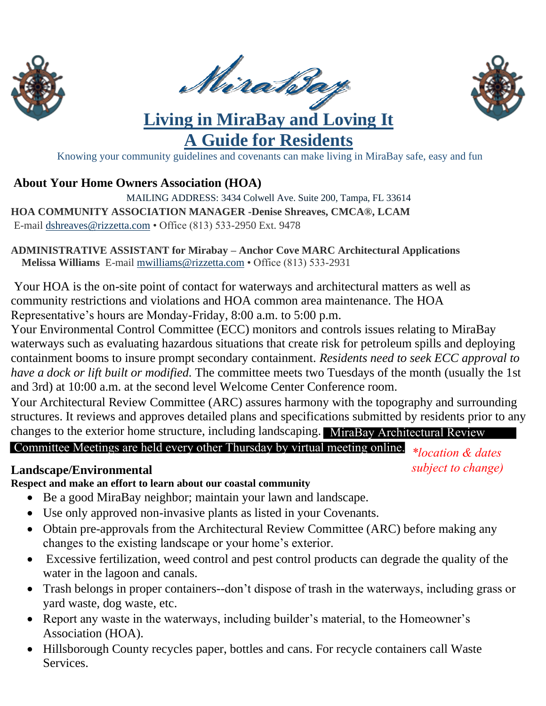





**A Guide for Residents** Knowing your community guidelines and covenants can make living in MiraBay safe, easy and fun

#### **About Your Home Owners Association (HOA)**

MAILING ADDRESS: 3434 Colwell Ave. Suite 200, Tampa, FL 33614 **HOA COMMUNITY ASSOCIATION MANAGER -Denise Shreaves, CMCA®, LCAM**  E-mail [dshreaves@rizzetta.com](mailto:dshreaves@rizzetta.com) • Office (813) 533-2950 Ext. 9478

**ADMINISTRATIVE ASSISTANT for Mirabay – Anchor Cove MARC Architectural Applications Melissa Williams** E-mail [mwilliams@rizzetta.com](mailto:mwilliams@rizzetta.com) • Office (813) 533-2931

Your HOA is the on-site point of contact for waterways and architectural matters as well as community restrictions and violations and HOA common area maintenance. The HOA Representative's hours are Monday-Friday, 8:00 a.m. to 5:00 p.m.

Your Environmental Control Committee (ECC) monitors and controls issues relating to MiraBay waterways such as evaluating hazardous situations that create risk for petroleum spills and deploying containment booms to insure prompt secondary containment. *Residents need to seek ECC approval to have a dock or lift built or modified.* The committee meets two Tuesdays of the month (usually the 1st and 3rd) at 10:00 a.m. at the second level Welcome Center Conference room.

Your Architectural Review Committee (ARC) assures harmony with the topography and surrounding structures. It reviews and approves detailed plans and specifications submitted by residents prior to any

changes to the exterior home structure, including landscaping. MiraBay Architectural Review

# Committee Meetings are held every other Thursday by virtual meeting online. *\*location & dates*

#### **Landscape/Environmental**

*subject to change)*

**Respect and make an effort to learn about our coastal community**

- Be a good MiraBay neighbor; maintain your lawn and landscape.
- Use only approved non-invasive plants as listed in your Covenants.
- Obtain pre-approvals from the Architectural Review Committee (ARC) before making any changes to the existing landscape or your home's exterior.
- Excessive fertilization, weed control and pest control products can degrade the quality of the water in the lagoon and canals.
- Trash belongs in proper containers--don't dispose of trash in the waterways, including grass or yard waste, dog waste, etc.
- Report any waste in the waterways, including builder's material, to the Homeowner's Association (HOA).
- Hillsborough County recycles paper, bottles and cans. For recycle containers call Waste Services.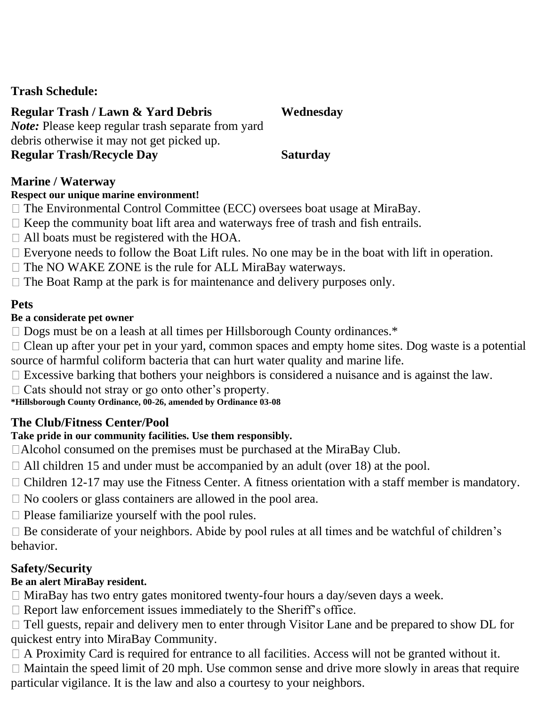#### **Trash Schedule:**

### **Regular Trash / Lawn & Yard Debris**

*Note:* Please keep regular trash separate from yard debris otherwise it may not get picked up.

#### **Regular Trash/Recycle Day Saturday**

**Wednesday** 

#### **Marine / Waterway**

#### **Respect our unique marine environment!**

- $\Box$  The Environmental Control Committee (ECC) oversees boat usage at MiraBay.
- $\Box$  Keep the community boat lift area and waterways free of trash and fish entrails.
- □ All boats must be registered with the HOA.
- $\Box$  Everyone needs to follow the Boat Lift rules. No one may be in the boat with lift in operation.
- $\Box$  The NO WAKE ZONE is the rule for ALL MiraBay waterways.
- $\Box$  The Boat Ramp at the park is for maintenance and delivery purposes only.

#### **Pets**

#### **Be a considerate pet owner**

- $\Box$  Dogs must be on a leash at all times per Hillsborough County ordinances.\*
- $\Box$  Clean up after your pet in your yard, common spaces and empty home sites. Dog waste is a potential source of harmful coliform bacteria that can hurt water quality and marine life.
- $\Box$  Excessive barking that bothers your neighbors is considered a nuisance and is against the law.
- $\Box$  Cats should not stray or go onto other's property.

#### **\*Hillsborough County Ordinance, 00-26, amended by Ordinance 03-08**

#### **The Club/Fitness Center/Pool**

#### **Take pride in our community facilities. Use them responsibly.**

- □Alcohol consumed on the premises must be purchased at the MiraBay Club.
- $\Box$  All children 15 and under must be accompanied by an adult (over 18) at the pool.
- $\Box$  Children 12-17 may use the Fitness Center. A fitness orientation with a staff member is mandatory.
- $\Box$  No coolers or glass containers are allowed in the pool area.
- $\Box$  Please familiarize yourself with the pool rules.
- $\Box$  Be considerate of your neighbors. Abide by pool rules at all times and be watchful of children's behavior.

## **Safety/Security**

#### **Be an alert MiraBay resident.**

- $\Box$  MiraBay has two entry gates monitored twenty-four hours a day/seven days a week.
- $\Box$  Report law enforcement issues immediately to the Sheriff's office.
- $\Box$  Tell guests, repair and delivery men to enter through Visitor Lane and be prepared to show DL for quickest entry into MiraBay Community.
- $\Box$  A Proximity Card is required for entrance to all facilities. Access will not be granted without it.
- $\Box$  Maintain the speed limit of 20 mph. Use common sense and drive more slowly in areas that require particular vigilance. It is the law and also a courtesy to your neighbors.